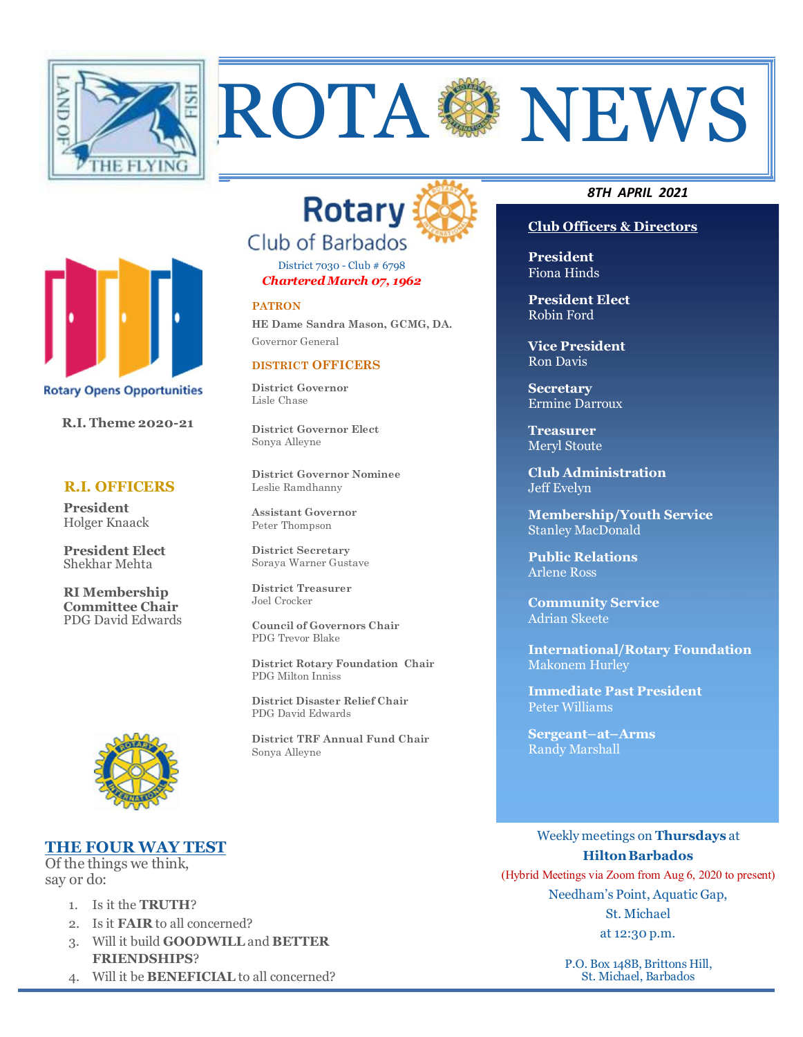

**R.I. Theme 2020-21**

**Rotary Opens Opportunities** 

 **R.I. OFFICERS** 

**President Elect** Shekhar Mehta

**RI Membership Committee Chair**

**President** Holger Knaack



District 7030 - Club # 6798 *Chartered March 07, 1962*

#### **PATRON**

**HE Dame Sandra Mason, GCMG, DA.** Governor General

## **DISTRICT OFFICERS**

**District Governor** Lisle Chase

**District Governor Elect** Sonya Alleyne

**District Governor Nominee** Leslie Ramdhanny

**Assistant Governor**  Peter Thompson

**District Secretary**  Soraya Warner Gustave

**District Treasurer**  Joel Crocker

**Council of Governors Chair** PDG Trevor Blake

**District Rotary Foundation Chair** PDG Milton Inniss

 **District Disaster Relief Chair** PDG David Edwards

**District TRF Annual Fund Chair**  Sonya Alleyne

#### *8TH APRIL 2021*

## **Club Officers & Directors**

**President** Fiona Hinds

**President Elect** Robin Ford

**Vice President** Ron Davis

**Secretary** Ermine Darroux

**Treasurer**  Meryl Stoute

**Club Administration** Jeff Evelyn

**Membership/Youth Service**  Stanley MacDonald

**Public Relations**  Arlene Ross

**Community Service** Adrian Skeete

**International/Rotary Foundation** Makonem Hurley

**Immediate Past President** Peter Williams

**Sergeant–at–Arms** Randy Marshall

## **THE FOUR WAY TEST**

Of the things we think, say or do:

- 1. Is it the **TRUTH**?
- 2. Is it **FAIR** to all concerned?
- 3. Will it build **GOODWILL** and **BETTER FRIENDSHIPS**?
- 4. Will it be **BENEFICIAL** to all concerned?

Weekly meetings on **Thursdays** at **HiltonBarbados** 

(Hybrid Meetings via Zoom from Aug 6, 2020 to present) Needham's Point, Aquatic Gap, St. Michael at 12:30 p.m.

> P.O. Box 148B, Brittons Hill, St. Michael, Barbados



PDG David Edwards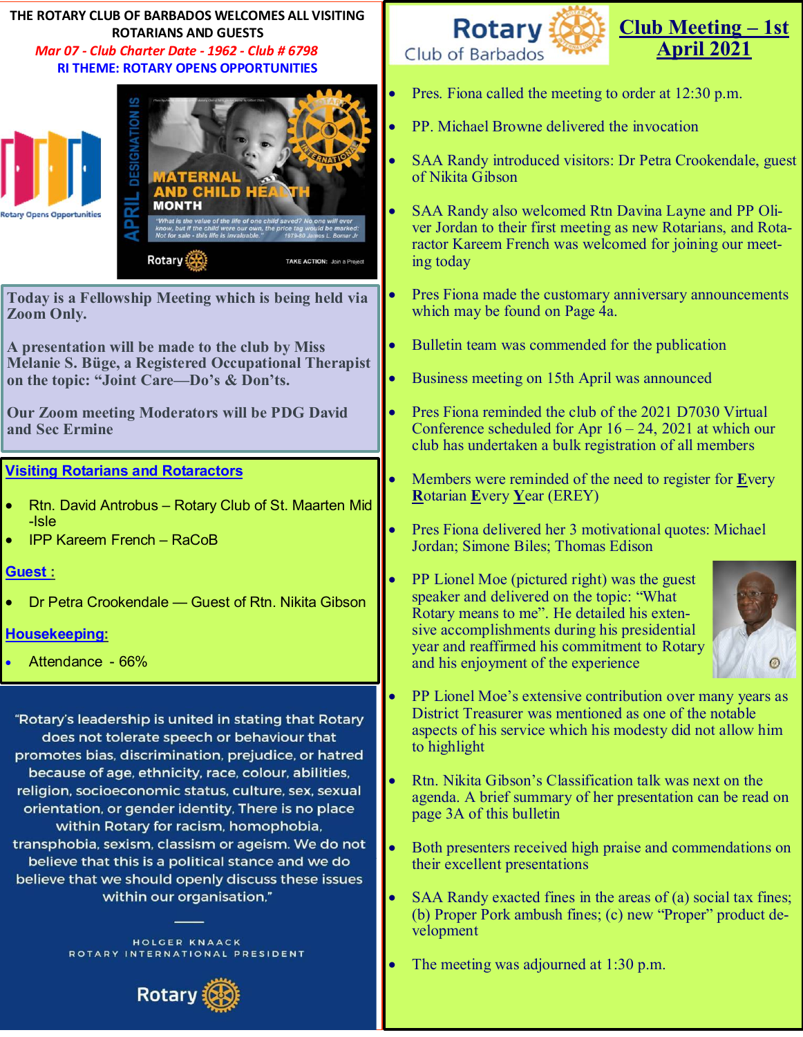## **THE ROTARY CLUB OF BARBADOS WELCOMES ALL VISITING ROTARIANS AND GUESTS**  *Mar 07 - Club Charter Date - 1962 - Club # 6798*

# **RI THEME: ROTARY OPENS OPPORTUNITIES**



**Today is a Fellowship Meeting which is being held via Zoom Only.** 

**A presentation will be made to the club by Miss Melanie S. Büge, a Registered Occupational Therapist on the topic: "Joint Care—Do's & Don'ts.**

**Our Zoom meeting Moderators will be PDG David and Sec Ermine**

## **Visiting Rotarians and Rotaractors**

- Rtn. David Antrobus Rotary Club of St. Maarten Mid -Isle
- IPP Kareem French RaCoB

## **Guest :**

Dr Petra Crookendale — Guest of Rtn. Nikita Gibson

## **Housekeeping:**

Attendance - 66%

"Rotary's leadership is united in stating that Rotary does not tolerate speech or behaviour that promotes bias, discrimination, prejudice, or hatred because of age, ethnicity, race, colour, abilities, religion, socioeconomic status, culture, sex, sexual orientation, or gender identity, There is no place within Rotary for racism, homophobia, transphobia, sexism, classism or ageism. We do not believe that this is a political stance and we do believe that we should openly discuss these issues within our organisation,"

> HOLGER KNAACK ROTARY INTERNATIONAL PRESIDENT





- Pres. Fiona called the meeting to order at 12:30 p.m.
- PP. Michael Browne delivered the invocation
- SAA Randy introduced visitors: Dr Petra Crookendale, guest of Nikita Gibson
- SAA Randy also welcomed Rtn Davina Layne and PP Oliver Jordan to their first meeting as new Rotarians, and Rotaractor Kareem French was welcomed for joining our meeting today
- Pres Fiona made the customary anniversary announcements which may be found on Page 4a.
- Bulletin team was commended for the publication
- Business meeting on 15th April was announced
- Pres Fiona reminded the club of the 2021 D7030 Virtual Conference scheduled for Apr  $16 - 24$ , 2021 at which our club has undertaken a bulk registration of all members
- Members were reminded of the need to register for **E**very **R**otarian **E**very **Y**ear (EREY)
- Pres Fiona delivered her 3 motivational quotes: Michael Jordan; Simone Biles; Thomas Edison
- PP Lionel Moe (pictured right) was the guest speaker and delivered on the topic: "What Rotary means to me". He detailed his extensive accomplishments during his presidential year and reaffirmed his commitment to Rotary and his enjoyment of the experience



- PP Lionel Moe's extensive contribution over many years as District Treasurer was mentioned as one of the notable aspects of his service which his modesty did not allow him to highlight
- Rtn. Nikita Gibson's Classification talk was next on the agenda. A brief summary of her presentation can be read on page 3A of this bulletin
- Both presenters received high praise and commendations on their excellent presentations
- SAA Randy exacted fines in the areas of (a) social tax fines; (b) Proper Pork ambush fines; (c) new "Proper" product development
- The meeting was adjourned at 1:30 p.m.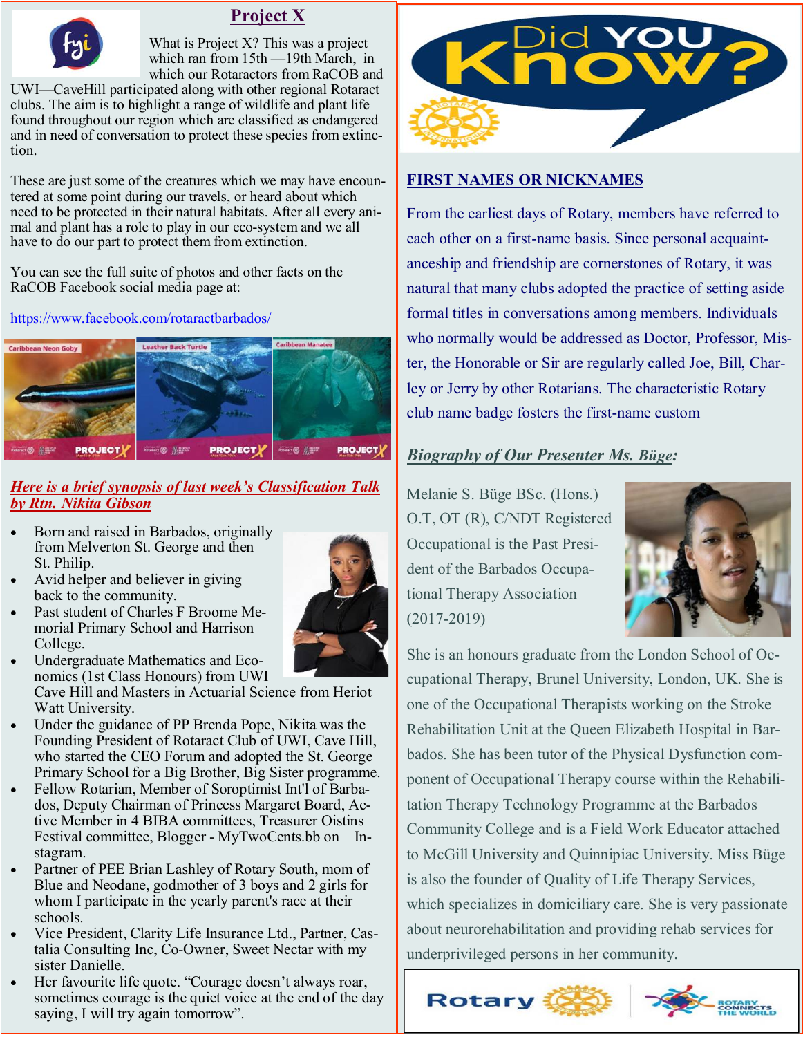

## **Project X**

What is Project X? This was a project which ran from 15th —19th March, in which our Rotaractors from RaCOB and

UWI—CaveHill participated along with other regional Rotaract clubs. The aim is to highlight a range of wildlife and plant life found throughout our region which are classified as endangered and in need of conversation to protect these species from extinction.

These are just some of the creatures which we may have encountered at some point during our travels, or heard about which need to be protected in their natural habitats. After all every animal and plant has a role to play in our eco-system and we all have to do our part to protect them from extinction.

You can see the full suite of photos and other facts on the RaCOB Facebook social media page at:

https://www.facebook.com/rotaractbarbados/



## *Here is a brief synopsis of last week's Classification Talk by Rtn. Nikita Gibson*

- Born and raised in Barbados, originally from Melverton St. George and then St. Philip.
- Avid helper and believer in giving back to the community.
- Past student of Charles F Broome Memorial Primary School and Harrison College.



 Undergraduate Mathematics and Economics (1st Class Honours) from UWI Cave Hill and Masters in Actuarial Science from Heriot

Watt University. Under the guidance of PP Brenda Pope, Nikita was the

- Founding President of Rotaract Club of UWI, Cave Hill, who started the CEO Forum and adopted the St. George Primary School for a Big Brother, Big Sister programme.
- Fellow Rotarian, Member of Soroptimist Int'l of Barbados, Deputy Chairman of Princess Margaret Board, Active Member in 4 BIBA committees, Treasurer Oistins Festival committee, Blogger - MyTwoCents.bb on Instagram.
- Partner of PEE Brian Lashley of Rotary South, mom of Blue and Neodane, godmother of 3 boys and 2 girls for whom I participate in the yearly parent's race at their schools.
- Vice President, Clarity Life Insurance Ltd., Partner, Castalia Consulting Inc, Co-Owner, Sweet Nectar with my sister Danielle.
- Her favourite life quote. "Courage doesn't always roar, sometimes courage is the quiet voice at the end of the day saying, I will try again tomorrow".



## **FIRST NAMES OR NICKNAMES**

From the earliest days of Rotary, members have referred to each other on a first-name basis. Since personal acquaintanceship and friendship are cornerstones of Rotary, it was natural that many clubs adopted the practice of setting aside formal titles in conversations among members. Individuals who normally would be addressed as Doctor, Professor, Mister, the Honorable or Sir are regularly called Joe, Bill, Charley or Jerry by other Rotarians. The characteristic Rotary club name badge fosters the first-name custom

## *Biography of Our Presenter Ms. Büge:*

Melanie S. Büge BSc. (Hons.) O.T, OT (R), C/NDT Registered Occupational is the Past President of the Barbados Occupational Therapy Association (2017-2019)



She is an honours graduate from the London School of Occupational Therapy, Brunel University, London, UK. She is one of the Occupational Therapists working on the Stroke Rehabilitation Unit at the Queen Elizabeth Hospital in Barbados. She has been tutor of the Physical Dysfunction component of Occupational Therapy course within the Rehabilitation Therapy Technology Programme at the Barbados Community College and is a Field Work Educator attached to McGill University and Quinnipiac University. Miss Büge is also the founder of Quality of Life Therapy Services, which specializes in domiciliary care. She is very passionate about neurorehabilitation and providing rehab services for underprivileged persons in her community.